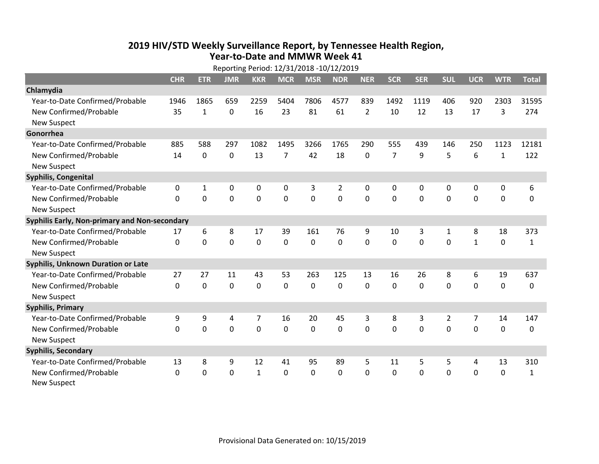## **2019 HIV /STD Weekly Surveillance Report, by Tennessee Health Region, Year‐to‐Date and MMWR Week 41** Reporting Period: 12/31/2018 ‐10/12/2019

| Reporting Period: 12/31/2018 -10/12/2019      |              |              |             |                |             |                |                |                |                |            |                |                |              |              |
|-----------------------------------------------|--------------|--------------|-------------|----------------|-------------|----------------|----------------|----------------|----------------|------------|----------------|----------------|--------------|--------------|
|                                               | <b>CHR</b>   | <b>ETR</b>   | <b>JMR</b>  | <b>KKR</b>     | <b>MCR</b>  | <b>MSR</b>     | <b>NDR</b>     | <b>NER</b>     | <b>SCR</b>     | <b>SER</b> | <b>SUL</b>     | <b>UCR</b>     | <b>WTR</b>   | <b>Total</b> |
| Chlamydia                                     |              |              |             |                |             |                |                |                |                |            |                |                |              |              |
| Year-to-Date Confirmed/Probable               | 1946         | 1865         | 659         | 2259           | 5404        | 7806           | 4577           | 839            | 1492           | 1119       | 406            | 920            | 2303         | 31595        |
| New Confirmed/Probable                        | 35           | $\mathbf{1}$ | 0           | 16             | 23          | 81             | 61             | $\overline{2}$ | 10             | 12         | 13             | 17             | 3            | 274          |
| <b>New Suspect</b>                            |              |              |             |                |             |                |                |                |                |            |                |                |              |              |
| Gonorrhea                                     |              |              |             |                |             |                |                |                |                |            |                |                |              |              |
| Year-to-Date Confirmed/Probable               | 885          | 588          | 297         | 1082           | 1495        | 3266           | 1765           | 290            | 555            | 439        | 146            | 250            | 1123         | 12181        |
| New Confirmed/Probable                        | 14           | $\mathbf 0$  | $\mathbf 0$ | 13             | 7           | 42             | 18             | 0              | $\overline{7}$ | 9          | 5              | 6              | $\mathbf{1}$ | 122          |
| <b>New Suspect</b>                            |              |              |             |                |             |                |                |                |                |            |                |                |              |              |
| <b>Syphilis, Congenital</b>                   |              |              |             |                |             |                |                |                |                |            |                |                |              |              |
| Year-to-Date Confirmed/Probable               | 0            | 1            | 0           | 0              | $\pmb{0}$   | 3              | $\overline{2}$ | 0              | 0              | 0          | 0              | 0              | 0            | 6            |
| New Confirmed/Probable                        | $\mathbf{0}$ | 0            | 0           | 0              | $\mathbf 0$ | $\overline{0}$ | 0              | $\mathbf 0$    | $\mathbf{0}$   | 0          | 0              | 0              | $\mathbf 0$  | $\Omega$     |
| <b>New Suspect</b>                            |              |              |             |                |             |                |                |                |                |            |                |                |              |              |
| Syphilis Early, Non-primary and Non-secondary |              |              |             |                |             |                |                |                |                |            |                |                |              |              |
| Year-to-Date Confirmed/Probable               | 17           | 6            | 8           | 17             | 39          | 161            | 76             | 9              | 10             | 3          | 1              | 8              | 18           | 373          |
| New Confirmed/Probable                        | $\Omega$     | $\Omega$     | 0           | 0              | $\mathbf 0$ | $\mathbf 0$    | $\Omega$       | $\Omega$       | $\Omega$       | $\Omega$   | $\Omega$       | $\mathbf{1}$   | $\mathbf 0$  | $\mathbf{1}$ |
| <b>New Suspect</b>                            |              |              |             |                |             |                |                |                |                |            |                |                |              |              |
| Syphilis, Unknown Duration or Late            |              |              |             |                |             |                |                |                |                |            |                |                |              |              |
| Year-to-Date Confirmed/Probable               | 27           | 27           | 11          | 43             | 53          | 263            | 125            | 13             | 16             | 26         | 8              | 6              | 19           | 637          |
| New Confirmed/Probable                        | $\mathbf{0}$ | $\mathbf 0$  | 0           | 0              | $\mathbf 0$ | 0              | $\Omega$       | $\Omega$       | $\Omega$       | $\Omega$   | $\Omega$       | 0              | $\mathbf 0$  | 0            |
| <b>New Suspect</b>                            |              |              |             |                |             |                |                |                |                |            |                |                |              |              |
| <b>Syphilis, Primary</b>                      |              |              |             |                |             |                |                |                |                |            |                |                |              |              |
| Year-to-Date Confirmed/Probable               | 9            | 9            | 4           | $\overline{7}$ | 16          | 20             | 45             | 3              | 8              | 3          | $\overline{2}$ | $\overline{7}$ | 14           | 147          |
| New Confirmed/Probable                        | $\Omega$     | 0            | 0           | 0              | $\mathbf 0$ | 0              | 0              | $\Omega$       | $\Omega$       | $\Omega$   | $\Omega$       | $\Omega$       | $\mathbf 0$  | 0            |
| <b>New Suspect</b>                            |              |              |             |                |             |                |                |                |                |            |                |                |              |              |
| <b>Syphilis, Secondary</b>                    |              |              |             |                |             |                |                |                |                |            |                |                |              |              |
| Year-to-Date Confirmed/Probable               | 13           | 8            | 9           | 12             | 41          | 95             | 89             | 5              | 11             | 5          | 5              | 4              | 13           | 310          |
| New Confirmed/Probable                        | 0            | 0            | 0           | $\mathbf{1}$   | 0           | 0              | 0              | $\Omega$       | $\mathbf{0}$   | 0          | 0              | 0              | $\mathbf 0$  | $\mathbf{1}$ |
| <b>New Suspect</b>                            |              |              |             |                |             |                |                |                |                |            |                |                |              |              |